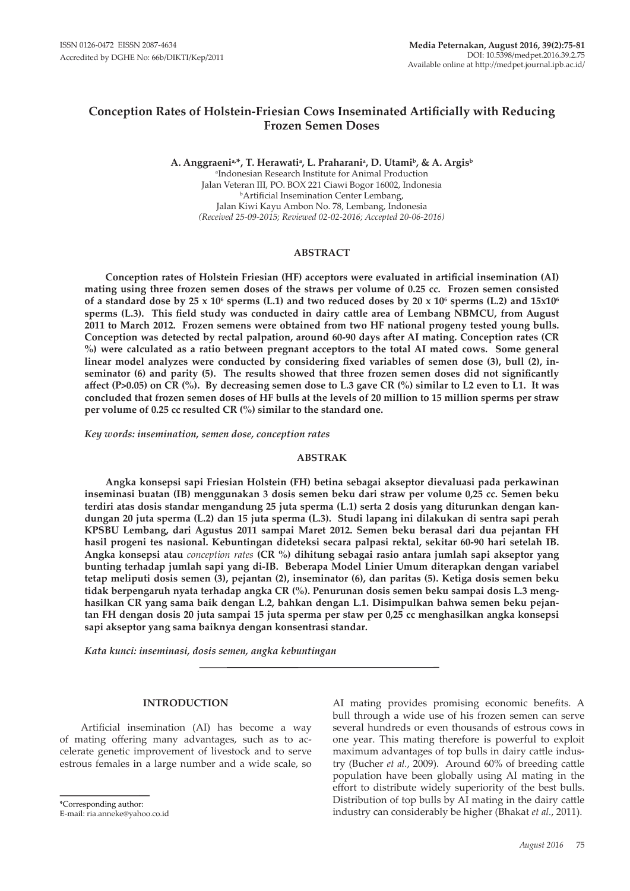# **Conception Rates of Holstein-Friesian Cows Inseminated Artificially with Reducing Frozen Semen Doses**

A. Anggraeni<sup>a,\*</sup>, T. Herawati<sup>a</sup>, L. Praharani<sup>a</sup>, D. Utami<sup>b</sup>, & A. Argis<sup>b</sup> a Indonesian Research Institute for Animal Production

Jalan Veteran III, PO. BOX 221 Ciawi Bogor 16002, Indonesia b **bArtificial Insemination Center Lembang,** Jalan Kiwi Kayu Ambon No. 78, Lembang, Indonesia *(Received 25-09-2015; Reviewed 02-02-2016; Accepted 20-06-2016)*

### **ABSTRACT**

**Conception rates of Holstein Friesian (HF) acceptors were evaluated in artificial insemination (AI) mating using three frozen semen doses of the straws per volume of 0.25 cc. Frozen semen consisted**  of a standard dose by 25 x 10<sup>6</sup> sperms (L.1) and two reduced doses by 20 x 10<sup>6</sup> sperms (L.2) and  $15x10^6$ **sperms (L.3). This field study was conducted in dairy cattle area of Lembang NBMCU, from August 2011 to March 2012. Frozen semens were obtained from two HF national progeny tested young bulls. Conception was detected by rectal palpation, around 60-90 days after AI mating. Conception rates (CR %) were calculated as a ratio between pregnant acceptors to the total AI mated cows. Some general linear model analyzes were conducted by considering fixed variables of semen dose (3), bull (2), inseminator (6) and parity (5). The results showed that three frozen semen doses did not significantly affect (P>0.05) on CR (%). By decreasing semen dose to L.3 gave CR (%) similar to L2 even to L1. It was concluded that frozen semen doses of HF bulls at the levels of 20 million to 15 million sperms per straw per volume of 0.25 cc resulted CR (%) similar to the standard one.**

*Key words: insemination, semen dose, conception rates*

### **ABSTRAK**

**Angka konsepsi sapi Friesian Holstein (FH) betina sebagai akseptor dievaluasi pada perkawinan inseminasi buatan (IB) menggunakan 3 dosis semen beku dari straw per volume 0,25 cc. Semen beku terdiri atas dosis standar mengandung 25 juta sperma (L.1) serta 2 dosis yang diturunkan dengan kandungan 20 juta sperma (L.2) dan 15 juta sperma (L.3). Studi lapang ini dilakukan di sentra sapi perah KPSBU Lembang, dari Agustus 2011 sampai Maret 2012. Semen beku berasal dari dua pejantan FH hasil progeni tes nasional. Kebuntingan dideteksi secara palpasi rektal, sekitar 60-90 hari setelah IB. Angka konsepsi atau** *conception rates* **(CR %) dihitung sebagai rasio antara jumlah sapi akseptor yang bunting terhadap jumlah sapi yang di-IB. Beberapa Model Linier Umum diterapkan dengan variabel tetap meliputi dosis semen (3), pejantan (2), inseminator (6), dan paritas (5). Ketiga dosis semen beku tidak berpengaruh nyata terhadap angka CR (%). Penurunan dosis semen beku sampai dosis L.3 menghasilkan CR yang sama baik dengan L.2, bahkan dengan L.1. Disimpulkan bahwa semen beku pejantan FH dengan dosis 20 juta sampai 15 juta sperma per staw per 0,25 cc menghasilkan angka konsepsi sapi akseptor yang sama baiknya dengan konsentrasi standar.**

*Kata kunci: inseminasi, dosis semen, angka kebuntingan*

### **INTRODUCTION**

Artificial insemination (AI) has become a way of mating offering many advantages, such as to accelerate genetic improvement of livestock and to serve estrous females in a large number and a wide scale, so

\*Corresponding author: E-mail: ria.anneke@yahoo.co.id AI mating provides promising economic benefits. A bull through a wide use of his frozen semen can serve several hundreds or even thousands of estrous cows in one year. This mating therefore is powerful to exploit maximum advantages of top bulls in dairy cattle industry (Bucher *et al.*, 2009). Around 60% of breeding cattle population have been globally using AI mating in the effort to distribute widely superiority of the best bulls. Distribution of top bulls by AI mating in the dairy cattle industry can considerably be higher (Bhakat *et al.*, 2011).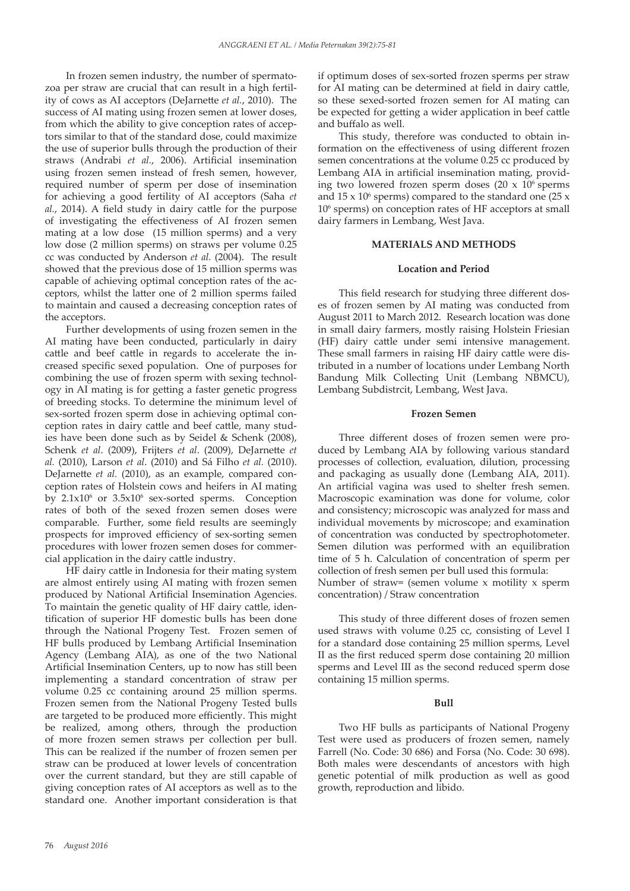In frozen semen industry, the number of spermatozoa per straw are crucial that can result in a high fertility of cows as AI acceptors (DeJarnette *et al.*, 2010). The success of AI mating using frozen semen at lower doses, from which the ability to give conception rates of acceptors similar to that of the standard dose, could maximize the use of superior bulls through the production of their straws (Andrabi *et al.*, 2006). Artificial insemination using frozen semen instead of fresh semen, however, required number of sperm per dose of insemination for achieving a good fertility of AI acceptors (Saha *et al.*, 2014). A field study in dairy cattle for the purpose of investigating the effectiveness of AI frozen semen mating at a low dose (15 million sperms) and a very low dose (2 million sperms) on straws per volume 0.25 cc was conducted by Anderson *et al.* (2004). The result showed that the previous dose of 15 million sperms was capable of achieving optimal conception rates of the acceptors, whilst the latter one of 2 million sperms failed to maintain and caused a decreasing conception rates of the acceptors.

Further developments of using frozen semen in the AI mating have been conducted, particularly in dairy cattle and beef cattle in regards to accelerate the increased specific sexed population. One of purposes for combining the use of frozen sperm with sexing technology in AI mating is for getting a faster genetic progress of breeding stocks. To determine the minimum level of sex-sorted frozen sperm dose in achieving optimal conception rates in dairy cattle and beef cattle, many studies have been done such as by Seidel & Schenk (2008), Schenk *et al*. (2009), Frijters *et al*. (2009), DeJarnette *et al.* (2010), Larson *et al*. (2010) and Sá Filho *et al.* (2010). DeJarnette *et al.* (2010), as an example, compared conception rates of Holstein cows and heifers in AI mating by 2.1x10<sup>6</sup> or 3.5x10<sup>6</sup> sex-sorted sperms. Conception rates of both of the sexed frozen semen doses were comparable. Further, some field results are seemingly prospects for improved efficiency of sex-sorting semen procedures with lower frozen semen doses for commercial application in the dairy cattle industry.

HF dairy cattle in Indonesia for their mating system are almost entirely using AI mating with frozen semen produced by National Artificial Insemination Agencies. To maintain the genetic quality of HF dairy cattle, identification of superior HF domestic bulls has been done through the National Progeny Test. Frozen semen of HF bulls produced by Lembang Artificial Insemination Agency (Lembang AIA), as one of the two National Artificial Insemination Centers, up to now has still been implementing a standard concentration of straw per volume 0.25 cc containing around 25 million sperms. Frozen semen from the National Progeny Tested bulls are targeted to be produced more efficiently. This might be realized, among others, through the production of more frozen semen straws per collection per bull. This can be realized if the number of frozen semen per straw can be produced at lower levels of concentration over the current standard, but they are still capable of giving conception rates of AI acceptors as well as to the standard one. Another important consideration is that

if optimum doses of sex-sorted frozen sperms per straw for AI mating can be determined at field in dairy cattle, so these sexed-sorted frozen semen for AI mating can be expected for getting a wider application in beef cattle and buffalo as well.

This study, therefore was conducted to obtain information on the effectiveness of using different frozen semen concentrations at the volume 0.25 cc produced by Lembang AIA in artificial insemination mating, providing two lowered frozen sperm doses  $(20 \times 10^6 \text{ sperms})$ and  $15 \times 10^6$  sperms) compared to the standard one (25 x 106 sperms) on conception rates of HF acceptors at small dairy farmers in Lembang, West Java.

#### **MATERIALS AND METHODS**

### **Location and Period**

This field research for studying three different doses of frozen semen by AI mating was conducted from August 2011 to March 2012. Research location was done in small dairy farmers, mostly raising Holstein Friesian (HF) dairy cattle under semi intensive management. These small farmers in raising HF dairy cattle were distributed in a number of locations under Lembang North Bandung Milk Collecting Unit (Lembang NBMCU), Lembang Subdistrcit, Lembang, West Java.

### **Frozen Semen**

Three different doses of frozen semen were produced by Lembang AIA by following various standard processes of collection, evaluation, dilution, processing and packaging as usually done (Lembang AIA, 2011). An artificial vagina was used to shelter fresh semen. Macroscopic examination was done for volume, color and consistency; microscopic was analyzed for mass and individual movements by microscope; and examination of concentration was conducted by spectrophotometer. Semen dilution was performed with an equilibration time of 5 h. Calculation of concentration of sperm per collection of fresh semen per bull used this formula: Number of straw= (semen volume x motility x sperm concentration) / Straw concentration

This study of three different doses of frozen semen used straws with volume 0.25 cc, consisting of Level I for a standard dose containing 25 million sperms, Level II as the first reduced sperm dose containing 20 million sperms and Level III as the second reduced sperm dose containing 15 million sperms.

#### **Bull**

Two HF bulls as participants of National Progeny Test were used as producers of frozen semen, namely Farrell (No. Code: 30 686) and Forsa (No. Code: 30 698). Both males were descendants of ancestors with high genetic potential of milk production as well as good growth, reproduction and libido.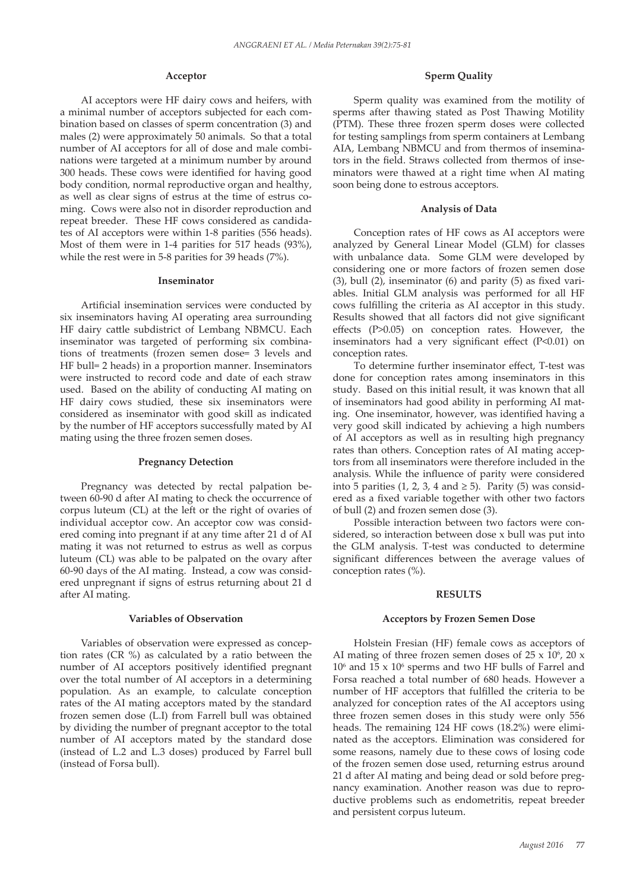### **Acceptor**

AI acceptors were HF dairy cows and heifers, with a minimal number of acceptors subjected for each combination based on classes of sperm concentration (3) and males (2) were approximately 50 animals. So that a total number of AI acceptors for all of dose and male combinations were targeted at a minimum number by around 300 heads. These cows were identified for having good body condition, normal reproductive organ and healthy, as well as clear signs of estrus at the time of estrus coming. Cows were also not in disorder reproduction and repeat breeder. These HF cows considered as candidates of AI acceptors were within 1-8 parities (556 heads). Most of them were in 1-4 parities for 517 heads (93%), while the rest were in 5-8 parities for 39 heads (7%).

#### **Inseminator**

Artificial insemination services were conducted by six inseminators having AI operating area surrounding HF dairy cattle subdistrict of Lembang NBMCU. Each inseminator was targeted of performing six combinations of treatments (frozen semen dose= 3 levels and HF bull= 2 heads) in a proportion manner. Inseminators were instructed to record code and date of each straw used. Based on the ability of conducting AI mating on HF dairy cows studied, these six inseminators were considered as inseminator with good skill as indicated by the number of HF acceptors successfully mated by AI mating using the three frozen semen doses.

#### **Pregnancy Detection**

Pregnancy was detected by rectal palpation between 60-90 d after AI mating to check the occurrence of corpus luteum (CL) at the left or the right of ovaries of individual acceptor cow. An acceptor cow was considered coming into pregnant if at any time after 21 d of AI mating it was not returned to estrus as well as corpus luteum (CL) was able to be palpated on the ovary after 60-90 days of the AI mating. Instead, a cow was considered unpregnant if signs of estrus returning about 21 d after AI mating.

#### **Variables of Observation**

Variables of observation were expressed as conception rates (CR %) as calculated by a ratio between the number of AI acceptors positively identified pregnant over the total number of AI acceptors in a determining population. As an example, to calculate conception rates of the AI mating acceptors mated by the standard frozen semen dose (L.I) from Farrell bull was obtained by dividing the number of pregnant acceptor to the total number of AI acceptors mated by the standard dose (instead of L.2 and L.3 doses) produced by Farrel bull (instead of Forsa bull).

### **Sperm Quality**

Sperm quality was examined from the motility of sperms after thawing stated as Post Thawing Motility (PTM). These three frozen sperm doses were collected for testing samplings from sperm containers at Lembang AIA, Lembang NBMCU and from thermos of inseminators in the field. Straws collected from thermos of inseminators were thawed at a right time when AI mating soon being done to estrous acceptors.

#### **Analysis of Data**

Conception rates of HF cows as AI acceptors were analyzed by General Linear Model (GLM) for classes with unbalance data. Some GLM were developed by considering one or more factors of frozen semen dose (3), bull (2), inseminator (6) and parity (5) as fixed variables. Initial GLM analysis was performed for all HF cows fulfilling the criteria as AI acceptor in this study. Results showed that all factors did not give significant effects (P>0.05) on conception rates. However, the inseminators had a very significant effect (P<0.01) on conception rates.

To determine further inseminator effect, T-test was done for conception rates among inseminators in this study. Based on this initial result, it was known that all of inseminators had good ability in performing AI mating. One inseminator, however, was identified having a very good skill indicated by achieving a high numbers of AI acceptors as well as in resulting high pregnancy rates than others. Conception rates of AI mating acceptors from all inseminators were therefore included in the analysis. While the influence of parity were considered into 5 parities (1, 2, 3, 4 and  $\geq$  5). Parity (5) was considered as a fixed variable together with other two factors of bull (2) and frozen semen dose (3).

Possible interaction between two factors were considered, so interaction between dose x bull was put into the GLM analysis. T-test was conducted to determine significant differences between the average values of conception rates (%).

### **RESULTS**

### **Acceptors by Frozen Semen Dose**

Holstein Fresian (HF) female cows as acceptors of AI mating of three frozen semen doses of  $25 \times 10^6$ ,  $20 \times$ 106 and 15 x 106 sperms and two HF bulls of Farrel and Forsa reached a total number of 680 heads. However a number of HF acceptors that fulfilled the criteria to be analyzed for conception rates of the AI acceptors using three frozen semen doses in this study were only 556 heads. The remaining 124 HF cows (18.2%) were eliminated as the acceptors. Elimination was considered for some reasons, namely due to these cows of losing code of the frozen semen dose used, returning estrus around 21 d after AI mating and being dead or sold before pregnancy examination. Another reason was due to reproductive problems such as endometritis, repeat breeder and persistent corpus luteum.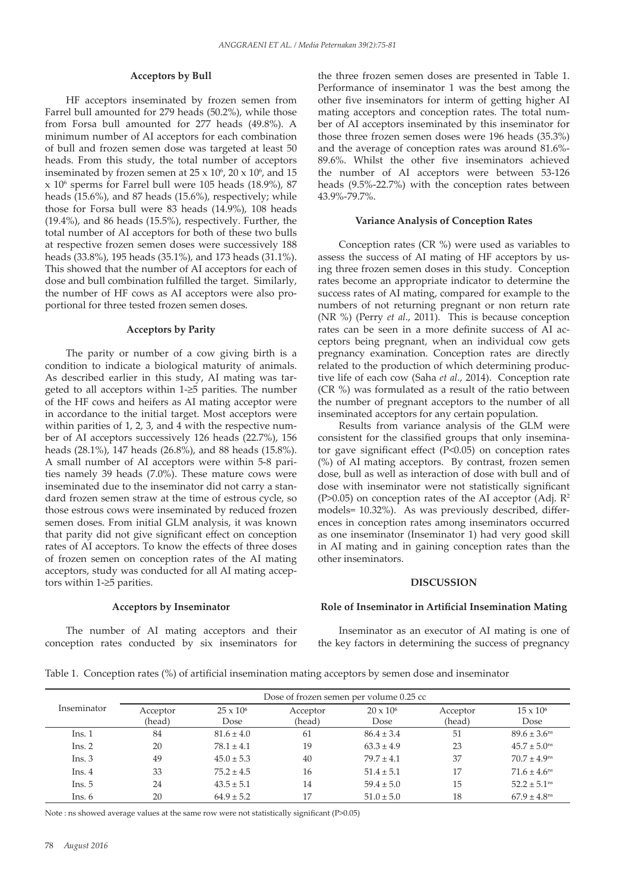#### **Acceptors by Bull**

HF acceptors inseminated by frozen semen from Farrel bull amounted for 279 heads (50.2%), while those from Forsa bull amounted for 277 heads (49.8%). A minimum number of AI acceptors for each combination of bull and frozen semen dose was targeted at least 50 heads. From this study, the total number of acceptors inseminated by frozen semen at  $25 \times 10^6$ ,  $20 \times 10^6$ , and  $15$ x 106 sperms for Farrel bull were 105 heads (18.9%), 87 heads (15.6%), and 87 heads (15.6%), respectively; while those for Forsa bull were 83 heads (14.9%), 108 heads (19.4%), and 86 heads (15.5%), respectively. Further, the total number of AI acceptors for both of these two bulls at respective frozen semen doses were successively 188 heads (33.8%), 195 heads (35.1%), and 173 heads (31.1%). This showed that the number of AI acceptors for each of dose and bull combination fulfilled the target. Similarly, the number of HF cows as AI acceptors were also proportional for three tested frozen semen doses.

### **Acceptors by Parity**

The parity or number of a cow giving birth is a condition to indicate a biological maturity of animals. As described earlier in this study, AI mating was targeted to all acceptors within 1-≥5 parities. The number of the HF cows and heifers as AI mating acceptor were in accordance to the initial target. Most acceptors were within parities of 1, 2, 3, and 4 with the respective number of AI acceptors successively 126 heads (22.7%), 156 heads (28.1%), 147 heads (26.8%), and 88 heads (15.8%). A small number of AI acceptors were within 5-8 parities namely 39 heads (7.0%). These mature cows were inseminated due to the inseminator did not carry a standard frozen semen straw at the time of estrous cycle, so those estrous cows were inseminated by reduced frozen semen doses. From initial GLM analysis, it was known that parity did not give significant effect on conception rates of AI acceptors. To know the effects of three doses of frozen semen on conception rates of the AI mating acceptors, study was conducted for all AI mating acceptors within 1-≥5 parities.

the three frozen semen doses are presented in Table 1. Performance of inseminator 1 was the best among the other five inseminators for interm of getting higher AI mating acceptors and conception rates. The total number of AI acceptors inseminated by this inseminator for those three frozen semen doses were 196 heads (35.3%) and the average of conception rates was around 81.6%- 89.6%. Whilst the other five inseminators achieved the number of AI acceptors were between 53-126 heads (9.5%-22.7%) with the conception rates between 43.9%-79.7%.

## **Variance Analysis of Conception Rates**

Conception rates (CR %) were used as variables to assess the success of AI mating of HF acceptors by using three frozen semen doses in this study. Conception rates become an appropriate indicator to determine the success rates of AI mating, compared for example to the numbers of not returning pregnant or non return rate (NR %) (Perry *et al*., 2011). This is because conception rates can be seen in a more definite success of AI acceptors being pregnant, when an individual cow gets pregnancy examination. Conception rates are directly related to the production of which determining productive life of each cow (Saha *et al*., 2014). Conception rate (CR %) was formulated as a result of the ratio between the number of pregnant acceptors to the number of all inseminated acceptors for any certain population.

Results from variance analysis of the GLM were consistent for the classified groups that only inseminator gave significant effect (P<0.05) on conception rates (%) of AI mating acceptors. By contrast, frozen semen dose, bull as well as interaction of dose with bull and of dose with inseminator were not statistically significant  $(P>0.05)$  on conception rates of the AI acceptor (Adj.  $\mathbb{R}^2$ ) models= 10.32%). As was previously described, differences in conception rates among inseminators occurred as one inseminator (Inseminator 1) had very good skill in AI mating and in gaining conception rates than the other inseminators.

### **DISCUSSION**

# **Role of Inseminator in Artificial Insemination Mating**

The number of AI mating acceptors and their conception rates conducted by six inseminators for

**Acceptors by Inseminator** 

Inseminator as an executor of AI mating is one of the key factors in determining the success of pregnancy

| Table 1. Conception rates (%) of artificial insemination mating acceptors by semen dose and inseminator |  |  |  |  |
|---------------------------------------------------------------------------------------------------------|--|--|--|--|
|                                                                                                         |  |  |  |  |

|             | Dose of frozen semen per volume 0.25 cc |                          |                    |                          |                    |                              |  |  |
|-------------|-----------------------------------------|--------------------------|--------------------|--------------------------|--------------------|------------------------------|--|--|
| Inseminator | Acceptor<br>(head)                      | $25 \times 10^6$<br>Dose | Acceptor<br>(head) | $20 \times 10^6$<br>Dose | Acceptor<br>(head) | $15 \times 10^6$<br>Dose     |  |  |
| Ins.1       | 84                                      | $81.6 \pm 4.0$           | 61                 | $86.4 \pm 3.4$           | 51                 | $89.6 \pm 3.6$ <sup>ns</sup> |  |  |
| Ins. 2      | 20                                      | $78.1 \pm 4.1$           | 19                 | $63.3 \pm 4.9$           | 23                 | $45.7 \pm 5.0$ <sup>ns</sup> |  |  |
| Ins. 3      | 49                                      | $45.0 \pm 5.3$           | 40                 | $79.7 \pm 4.1$           | 37                 | $70.7 \pm 4.9$ <sup>ns</sup> |  |  |
| Ins.4       | 33                                      | $75.2 \pm 4.5$           | 16                 | $51.4 \pm 5.1$           | 17                 | $71.6 \pm 4.6$ <sup>ns</sup> |  |  |
| Ins. 5      | 24                                      | $43.5 \pm 5.1$           | 14                 | $59.4 \pm 5.0$           | 15                 | $52.2 \pm 5.1^{\text{ns}}$   |  |  |
| Ins. 6      | 20                                      | $64.9 \pm 5.2$           | 17                 | $51.0 \pm 5.0$           | 18                 | $67.9 \pm 4.8$ <sup>ns</sup> |  |  |

Note : ns showed average values at the same row were not statistically significant (P>0.05)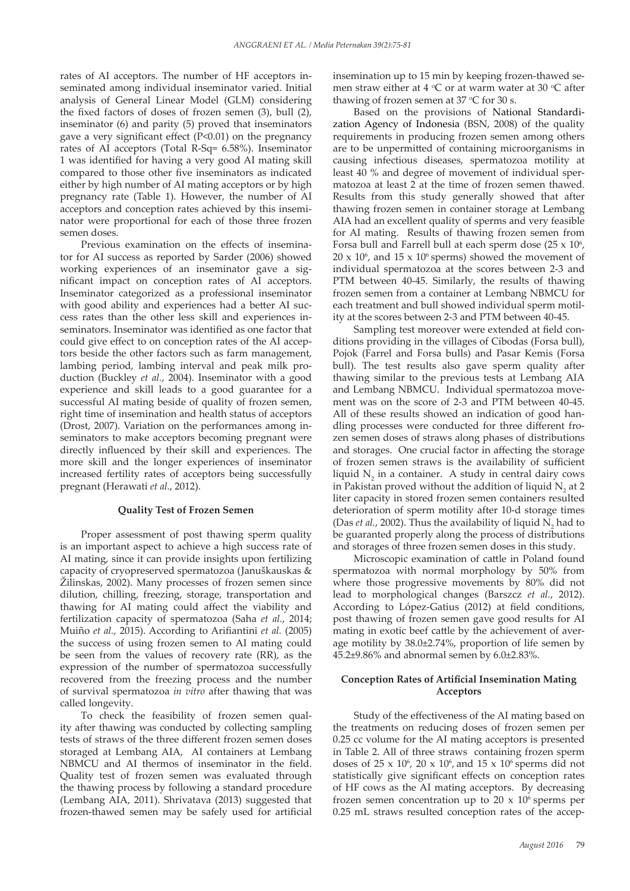rates of AI acceptors. The number of HF acceptors inseminated among individual inseminator varied. Initial analysis of General Linear Model (GLM) considering the fixed factors of doses of frozen semen (3), bull (2), inseminator (6) and parity (5) proved that inseminators gave a very significant effect (P<0.01) on the pregnancy rates of AI acceptors (Total R-Sq= 6.58%). Inseminator 1 was identified for having a very good AI mating skill compared to those other five inseminators as indicated either by high number of AI mating acceptors or by high pregnancy rate (Table 1). However, the number of AI acceptors and conception rates achieved by this inseminator were proportional for each of those three frozen semen doses.

Previous examination on the effects of inseminator for AI success as reported by Sarder (2006) showed working experiences of an inseminator gave a significant impact on conception rates of AI acceptors. Inseminator categorized as a professional inseminator with good ability and experiences had a better AI success rates than the other less skill and experiences inseminators. Inseminator was identified as one factor that could give effect to on conception rates of the AI acceptors beside the other factors such as farm management, lambing period, lambing interval and peak milk production (Buckley *et al.*, 2004). Inseminator with a good experience and skill leads to a good guarantee for a successful AI mating beside of quality of frozen semen, right time of insemination and health status of acceptors (Drost, 2007). Variation on the performances among inseminators to make acceptors becoming pregnant were directly influenced by their skill and experiences. The more skill and the longer experiences of inseminator increased fertility rates of acceptors being successfully pregnant (Herawati *et al.*, 2012).

#### **Quality Test of Frozen Semen**

Proper assessment of post thawing sperm quality is an important aspect to achieve a high success rate of AI mating, since it can provide insights upon fertilizing capacity of cryopreserved spermatozoa (Januškauskas & Žilinskas, 2002). Many processes of frozen semen since dilution, chilling, freezing, storage, transportation and thawing for AI mating could affect the viability and fertilization capacity of spermatozoa (Saha *et al.*, 2014; Muiño *et al.*, 2015). According to Arifiantini *et al.* (2005) the success of using frozen semen to AI mating could be seen from the values of recovery rate (RR), as the expression of the number of spermatozoa successfully recovered from the freezing process and the number of survival spermatozoa *in vitro* after thawing that was called longevity.

To check the feasibility of frozen semen quality after thawing was conducted by collecting sampling tests of straws of the three different frozen semen doses storaged at Lembang AIA, AI containers at Lembang NBMCU and AI thermos of inseminator in the field. Quality test of frozen semen was evaluated through the thawing process by following a standard procedure (Lembang AIA, 2011). Shrivatava (2013) suggested that frozen-thawed semen may be safely used for artificial insemination up to 15 min by keeping frozen-thawed semen straw either at  $4 \,^{\circ}\text{C}$  or at warm water at 30  $^{\circ}\text{C}$  after thawing of frozen semen at  $37^{\circ}$ C for  $30$  s.

Based on the provisions of National Standardization Agency of Indonesia (BSN, 2008) of the quality requirements in producing frozen semen among others are to be unpermitted of containing microorganisms in causing infectious diseases, spermatozoa motility at least 40 % and degree of movement of individual spermatozoa at least 2 at the time of frozen semen thawed. Results from this study generally showed that after thawing frozen semen in container storage at Lembang AIA had an excellent quality of sperms and very feasible for AI mating. Results of thawing frozen semen from Forsa bull and Farrell bull at each sperm dose  $(25 \times 10^6)$ ,  $20 \times 10^6$ , and  $15 \times 10^6$  sperms) showed the movement of individual spermatozoa at the scores between 2-3 and PTM between 40-45. Similarly, the results of thawing frozen semen from a container at Lembang NBMCU for each treatment and bull showed individual sperm motility at the scores between 2-3 and PTM between 40-45.

Sampling test moreover were extended at field conditions providing in the villages of Cibodas (Forsa bull), Pojok (Farrel and Forsa bulls) and Pasar Kemis (Forsa bull). The test results also gave sperm quality after thawing similar to the previous tests at Lembang AIA and Lembang NBMCU. Individual spermatozoa movement was on the score of 2-3 and PTM between 40-45. All of these results showed an indication of good handling processes were conducted for three different frozen semen doses of straws along phases of distributions and storages. One crucial factor in affecting the storage of frozen semen straws is the availability of sufficient liquid  $N_2$  in a container. A study in central dairy cows in Pakistan proved without the addition of liquid  $N_2$  at 2 liter capacity in stored frozen semen containers resulted deterioration of sperm motility after 10-d storage times (Das *et al.*, 2002). Thus the availability of liquid  $N_2$  had to be guaranted properly along the process of distributions and storages of three frozen semen doses in this study.

Microscopic examination of cattle in Poland found spermatozoa with normal morphology by 50% from where those progressive movements by 80% did not lead to morphological changes (Barszcz *et al.*, 2012). According to López-Gatius (2012) at field conditions, post thawing of frozen semen gave good results for AI mating in exotic beef cattle by the achievement of average motility by 38.0±2.74%, proportion of life semen by 45.2±9.86% and abnormal semen by 6.0±2.83%.

## **Conception Rates of Artificial Insemination Mating Acceptors**

Study of the effectiveness of the AI mating based on the treatments on reducing doses of frozen semen per 0.25 cc volume for the AI mating acceptors is presented in Table 2. All of three straws containing frozen sperm doses of  $25 \times 10^6$ ,  $20 \times 10^6$ , and  $15 \times 10^6$  sperms did not statistically give significant effects on conception rates of HF cows as the AI mating acceptors. By decreasing frozen semen concentration up to  $20 \times 10^6$  sperms per 0.25 mL straws resulted conception rates of the accep-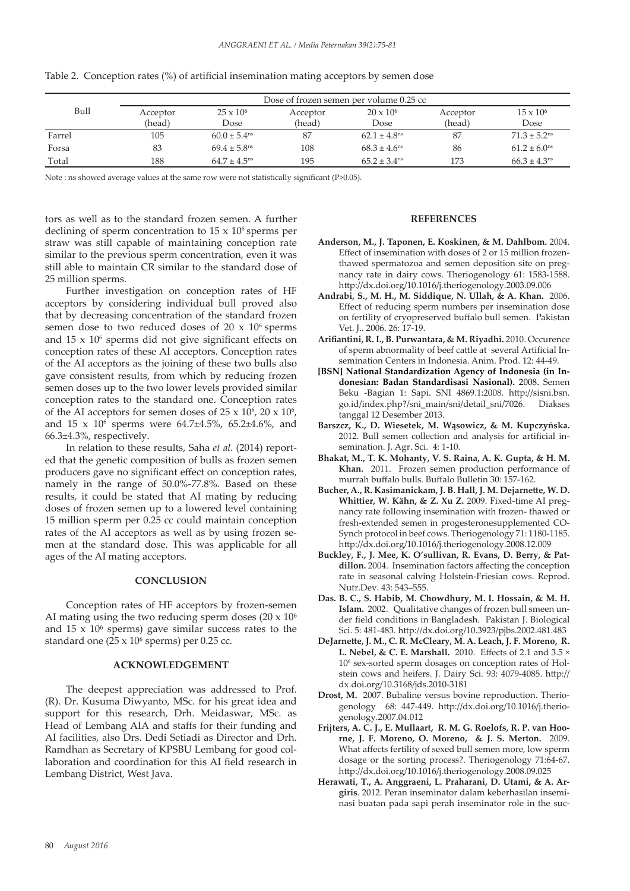|        | Dose of frozen semen per volume 0.25 cc |                              |                    |                              |                    |                              |  |  |
|--------|-----------------------------------------|------------------------------|--------------------|------------------------------|--------------------|------------------------------|--|--|
| Bull   | Acceptor<br>(head)                      | $25 \times 10^6$<br>Dose     | Acceptor<br>(head) | $20 \times 10^6$<br>Dose     | Acceptor<br>(head) | $15 \times 10^6$<br>Dose     |  |  |
| Farrel | 105                                     | $60.0 \pm 5.4^{\text{ns}}$   | 87                 | $62.1 \pm 4.8$ <sup>ns</sup> | 87                 | $71.3 \pm 5.2$ <sup>ns</sup> |  |  |
| Forsa  | 83                                      | $69.4 \pm 5.8$ <sup>ns</sup> | 108                | $68.3 \pm 4.6$ <sup>ns</sup> | 86                 | $61.2 \pm 6.0$ <sup>ns</sup> |  |  |
| Total  | 188                                     | $64.7 \pm 4.5$ <sup>ns</sup> | 195                | $65.2 \pm 3.4$ <sup>ns</sup> | 173                | $66.3 \pm 4.3$ <sup>ns</sup> |  |  |

Table 2. Conception rates (%) of artificial insemination mating acceptors by semen dose

Note : ns showed average values at the same row were not statistically significant (P>0.05).

tors as well as to the standard frozen semen. A further declining of sperm concentration to  $15 \times 10^6$  sperms per straw was still capable of maintaining conception rate similar to the previous sperm concentration, even it was still able to maintain CR similar to the standard dose of 25 million sperms.

Further investigation on conception rates of HF acceptors by considering individual bull proved also that by decreasing concentration of the standard frozen semen dose to two reduced doses of 20  $\times$  10<sup>6</sup> sperms and  $15 \times 10^6$  sperms did not give significant effects on conception rates of these AI acceptors. Conception rates of the AI acceptors as the joining of these two bulls also gave consistent results, from which by reducing frozen semen doses up to the two lower levels provided similar conception rates to the standard one. Conception rates of the AI acceptors for semen doses of  $25 \times 10^6$ ,  $20 \times 10^6$ , and 15 x 106 sperms were 64.7±4.5%, 65.2±4.6%, and 66.3±4.3%, respectively.

In relation to these results, Saha *et al.* (2014) reported that the genetic composition of bulls as frozen semen producers gave no significant effect on conception rates, namely in the range of 50.0%-77.8%. Based on these results, it could be stated that AI mating by reducing doses of frozen semen up to a lowered level containing 15 million sperm per 0.25 cc could maintain conception rates of the AI acceptors as well as by using frozen semen at the standard dose. This was applicable for all ages of the AI mating acceptors.

### **CONCLUSION**

Conception rates of HF acceptors by frozen-semen AI mating using the two reducing sperm doses  $(20 \times 10^6)$ and  $15 \times 10^6$  sperms) gave similar success rates to the standard one ( $25 \times 10^6$  sperms) per 0.25 cc.

### **ACKNOWLEDGEMENT**

The deepest appreciation was addressed to Prof. (R). Dr. Kusuma Diwyanto, MSc. for his great idea and support for this research, Drh. Meidaswar, MSc. as Head of Lembang AIA and staffs for their funding and AI facilities, also Drs. Dedi Setiadi as Director and Drh. Ramdhan as Secretary of KPSBU Lembang for good collaboration and coordination for this AI field research in Lembang District, West Java.

# **REFERENCES**

- **Anderson, M., J. Taponen, E. Koskinen, & M. Dahlbom.** 2004. Effect of insemination with doses of 2 or 15 million frozenthawed spermatozoa and semen deposition site on pregnancy rate in dairy cows. Theriogenology 61: 1583-1588. http://dx.doi.org/10.1016/j.theriogenology.2003.09.006
- **Andrabi, S., M. H., M. Siddique, N. Ullah, & A. Khan.** 2006. Effect of reducing sperm numbers per insemination dose on fertility of cryopreserved buffalo bull semen. Pakistan Vet. J.. 2006. 26: 17-19.
- **Arifiantini, R. I., B. Purwantara, & M. Riyadhi.** 2010. Occurence of sperm abnormality of beef cattle at several Artificial Insemination Centers in Indonesia. Anim. Prod. 12: 44-49.
- **[BSN] National Standardization Agency of Indonesia (in Indonesian: Badan Standardisasi Nasional).** 2008. Semen Beku -Bagian 1: Sapi. SNI 4869.1:2008. http://sisni.bsn. go.id/index.php?/sni\_main/sni/detail\_sni/7026. Diakses tanggal 12 Desember 2013.
- **Barszcz, K., D. Wiesetek, M. Wąsowicz, & M. Kupczyńska.** 2012. Bull semen collection and analysis for artificial insemination. J. Agr. Sci. 4: 1-10.
- **Bhakat, M., T. K. Mohanty, V. S. Raina, A. K. Gupta, & H. M. Khan.** 2011. Frozen semen production performance of murrah buffalo bulls. Buffalo Bulletin 30: 157-162.
- **Bucher, A., R. Kasimanickam, J. B. Hall, J. M. Dejarnette, W. D. Whittier, W. Kähn, & Z. Xu Z.** 2009. Fixed-time AI pregnancy rate following insemination with frozen- thawed or fresh-extended semen in progesteronesupplemented CO-Synch protocol in beef cows. Theriogenology 71: 1180-1185. http://dx.doi.org/10.1016/j.theriogenology.2008.12.009
- **Buckley, F., J. Mee, K. O'sullivan, R. Evans, D. Berry, & Patdillon.** 2004. Insemination factors affecting the conception rate in seasonal calving Holstein-Friesian cows. Reprod. Nutr.Dev. 43: 543–555.
- **Das. B. C., S. Habib, M. Chowdhury, M. I. Hossain, & M. H. Islam.** 2002. Qualitative changes of frozen bull smeen under field conditions in Bangladesh. Pakistan J. Biological Sci. 5: 481-483. http://dx.doi.org/10.3923/pjbs.2002.481.483
- **DeJarnette, J. M., C. R. McCleary, M. A. Leach, J. F. Moreno, R. L. Nebel, & C. E. Marshall.** 2010. Effects of 2.1 and 3.5 × 106 sex-sorted sperm dosages on conception rates of Holstein cows and heifers. J. Dairy Sci. 93: 4079-4085. http:// dx.doi.org/10.3168/jds.2010-3181
- **Drost, M.** 2007. Bubaline versus bovine reproduction. Theriogenology 68: 447-449. http://dx.doi.org/10.1016/j.theriogenology.2007.04.012
- **Frijters, A. C. J., E. Mullaart, R. M. G. Roelofs, R. P. van Hoorne, J. F. Moreno, O. Moreno, & J. S. Merton.** 2009. What affects fertility of sexed bull semen more, low sperm dosage or the sorting process?. Theriogenology 71:64-67. http://dx.doi.org/10.1016/j.theriogenology.2008.09.025
- **Herawati, T., A. Anggraeni, L. Praharani, D. Utami, & A. Argiris**. 2012. Peran inseminator dalam keberhasilan inseminasi buatan pada sapi perah inseminator role in the suc-